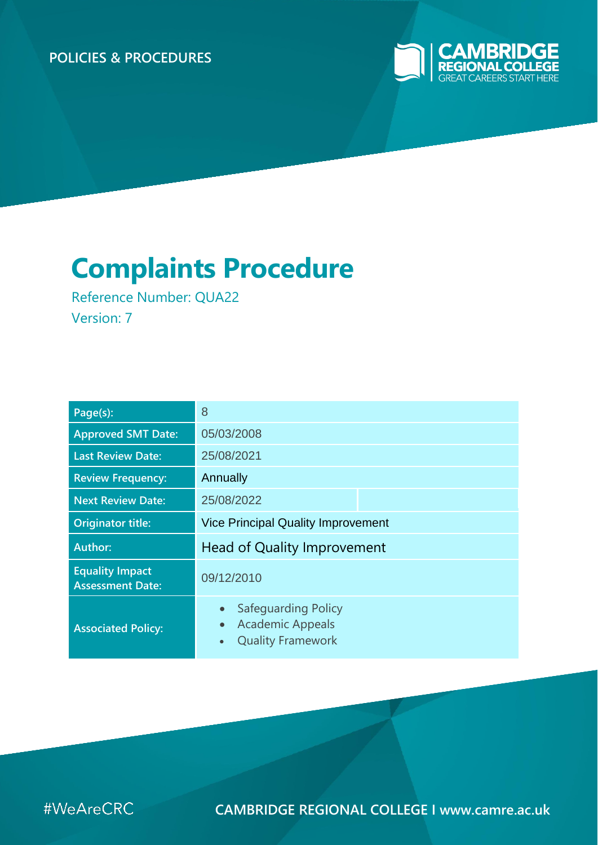#### **POLICIES & PROCEDURES**



# **Complaints Procedure**

Reference Number: QUA22 Version: 7

| Page(s):                                          | 8                                                                                                                 |  |  |  |
|---------------------------------------------------|-------------------------------------------------------------------------------------------------------------------|--|--|--|
| <b>Approved SMT Date:</b>                         | 05/03/2008                                                                                                        |  |  |  |
| <b>Last Review Date:</b>                          | 25/08/2021                                                                                                        |  |  |  |
| <b>Review Frequency:</b>                          | Annually                                                                                                          |  |  |  |
| <b>Next Review Date:</b>                          | 25/08/2022                                                                                                        |  |  |  |
| <b>Originator title:</b>                          | <b>Vice Principal Quality Improvement</b>                                                                         |  |  |  |
| <b>Author:</b>                                    | Head of Quality Improvement                                                                                       |  |  |  |
| <b>Equality Impact</b><br><b>Assessment Date:</b> | 09/12/2010                                                                                                        |  |  |  |
| <b>Associated Policy:</b>                         | Safeguarding Policy<br>$\bullet$<br><b>Academic Appeals</b><br>$\bullet$<br><b>Quality Framework</b><br>$\bullet$ |  |  |  |



**CAMBRIDGE REGIONAL COLLEGE I www.camre.ac.uk**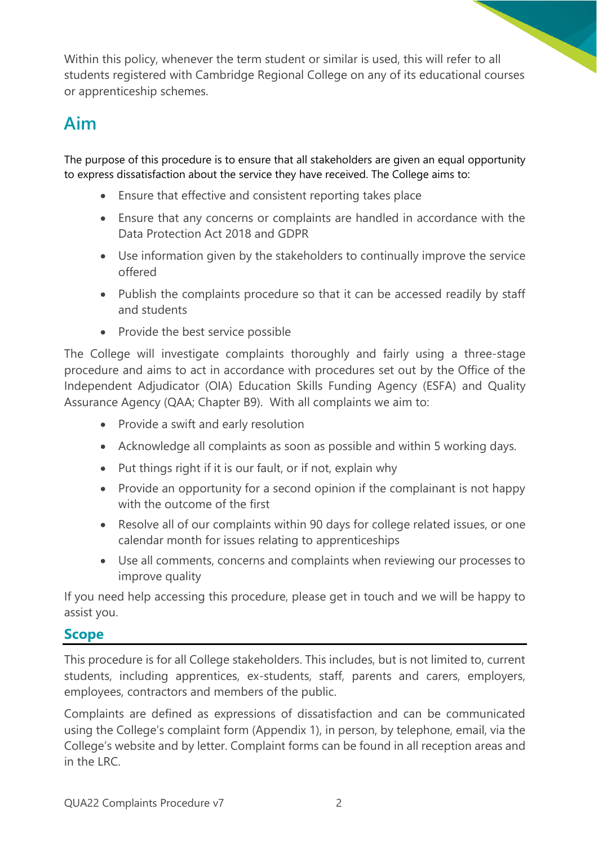Within this policy, whenever the term student or similar is used, this will refer to all students registered with Cambridge Regional College on any of its educational courses or apprenticeship schemes.

## **Aim**

The purpose of this procedure is to ensure that all stakeholders are given an equal opportunity to express dissatisfaction about the service they have received. The College aims to:

- Ensure that effective and consistent reporting takes place
- Ensure that any concerns or complaints are handled in accordance with the Data Protection Act 2018 and GDPR
- Use information given by the stakeholders to continually improve the service offered
- Publish the complaints procedure so that it can be accessed readily by staff and students
- Provide the best service possible

The College will investigate complaints thoroughly and fairly using a three-stage procedure and aims to act in accordance with procedures set out by the Office of the Independent Adjudicator (OIA) Education Skills Funding Agency (ESFA) and Quality Assurance Agency (QAA; Chapter B9). With all complaints we aim to:

- Provide a swift and early resolution
- Acknowledge all complaints as soon as possible and within 5 working days.
- Put things right if it is our fault, or if not, explain why
- Provide an opportunity for a second opinion if the complainant is not happy with the outcome of the first
- Resolve all of our complaints within 90 days for college related issues, or one calendar month for issues relating to apprenticeships
- Use all comments, concerns and complaints when reviewing our processes to improve quality

If you need help accessing this procedure, please get in touch and we will be happy to assist you.

#### **Scope**

This procedure is for all College stakeholders. This includes, but is not limited to, current students, including apprentices, ex-students, staff, parents and carers, employers, employees, contractors and members of the public.

Complaints are defined as expressions of dissatisfaction and can be communicated using the College's complaint form (Appendix 1), in person, by telephone, email, via the College's website and by letter. Complaint forms can be found in all reception areas and in the LRC.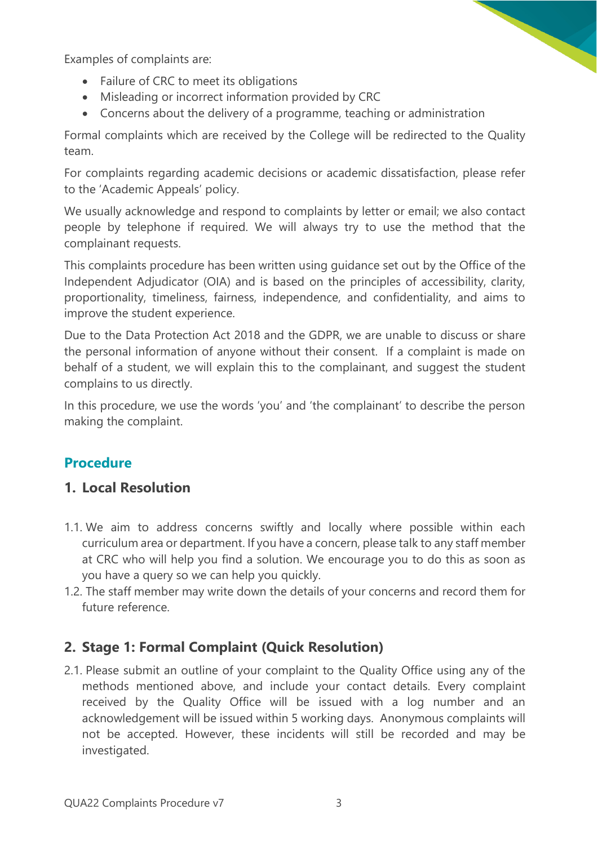Examples of complaints are:

- Failure of CRC to meet its obligations
- Misleading or incorrect information provided by CRC
- Concerns about the delivery of a programme, teaching or administration

Formal complaints which are received by the College will be redirected to the Quality team.

For complaints regarding academic decisions or academic dissatisfaction, please refer to the 'Academic Appeals' policy.

We usually acknowledge and respond to complaints by letter or email; we also contact people by telephone if required. We will always try to use the method that the complainant requests.

This complaints procedure has been written using guidance set out by the Office of the Independent Adjudicator (OIA) and is based on the principles of accessibility, clarity, proportionality, timeliness, fairness, independence, and confidentiality, and aims to improve the student experience.

Due to the Data Protection Act 2018 and the GDPR, we are unable to discuss or share the personal information of anyone without their consent. If a complaint is made on behalf of a student, we will explain this to the complainant, and suggest the student complains to us directly.

In this procedure, we use the words 'you' and 'the complainant' to describe the person making the complaint.

#### **Procedure**

#### **1. Local Resolution**

- 1.1. We aim to address concerns swiftly and locally where possible within each curriculum area or department. If you have a concern, please talk to any staff member at CRC who will help you find a solution. We encourage you to do this as soon as you have a query so we can help you quickly.
- 1.2. The staff member may write down the details of your concerns and record them for future reference.

#### **2. Stage 1: Formal Complaint (Quick Resolution)**

2.1. Please submit an outline of your complaint to the Quality Office using any of the methods mentioned above, and include your contact details. Every complaint received by the Quality Office will be issued with a log number and an acknowledgement will be issued within 5 working days. Anonymous complaints will not be accepted. However, these incidents will still be recorded and may be investigated.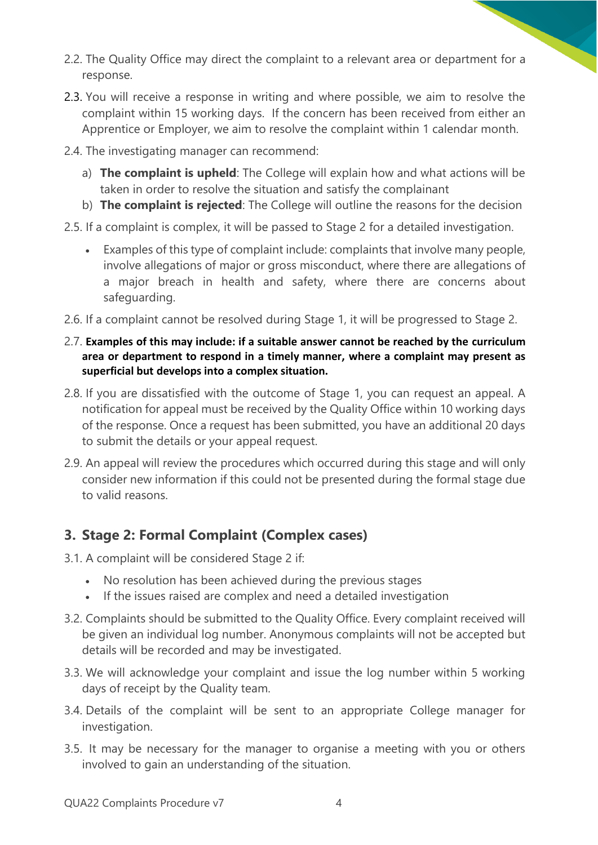- 2.2. The Quality Office may direct the complaint to a relevant area or department for a response.
- 2.3. You will receive a response in writing and where possible, we aim to resolve the complaint within 15 working days. If the concern has been received from either an Apprentice or Employer, we aim to resolve the complaint within 1 calendar month.
- 2.4. The investigating manager can recommend:
	- a) **The complaint is upheld**: The College will explain how and what actions will be taken in order to resolve the situation and satisfy the complainant
	- b) **The complaint is rejected**: The College will outline the reasons for the decision
- 2.5. If a complaint is complex, it will be passed to Stage 2 for a detailed investigation.
	- Examples of this type of complaint include: complaints that involve many people, involve allegations of major or gross misconduct, where there are allegations of a major breach in health and safety, where there are concerns about safeguarding.
- 2.6. If a complaint cannot be resolved during Stage 1, it will be progressed to Stage 2.
- 2.7. **Examples of this may include: if a suitable answer cannot be reached by the curriculum area or department to respond in a timely manner, where a complaint may present as superficial but develops into a complex situation.**
- 2.8. If you are dissatisfied with the outcome of Stage 1, you can request an appeal. A notification for appeal must be received by the Quality Office within 10 working days of the response. Once a request has been submitted, you have an additional 20 days to submit the details or your appeal request.
- 2.9. An appeal will review the procedures which occurred during this stage and will only consider new information if this could not be presented during the formal stage due to valid reasons.

#### **3. Stage 2: Formal Complaint (Complex cases)**

- 3.1. A complaint will be considered Stage 2 if:
	- No resolution has been achieved during the previous stages
	- If the issues raised are complex and need a detailed investigation
- 3.2. Complaints should be submitted to the Quality Office. Every complaint received will be given an individual log number. Anonymous complaints will not be accepted but details will be recorded and may be investigated.
- 3.3. We will acknowledge your complaint and issue the log number within 5 working days of receipt by the Quality team.
- 3.4. Details of the complaint will be sent to an appropriate College manager for investigation.
- 3.5. It may be necessary for the manager to organise a meeting with you or others involved to gain an understanding of the situation.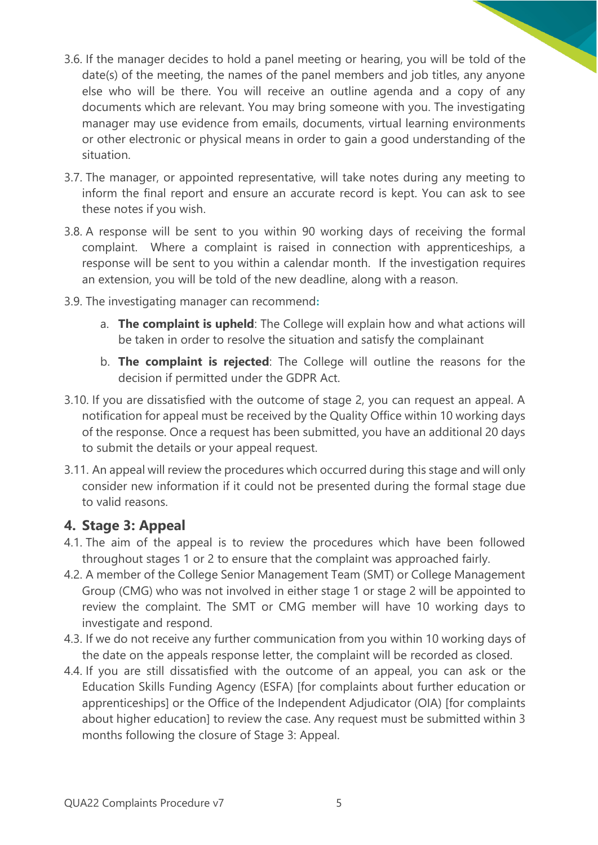- 3.6. If the manager decides to hold a panel meeting or hearing, you will be told of the date(s) of the meeting, the names of the panel members and job titles, any anyone else who will be there. You will receive an outline agenda and a copy of any documents which are relevant. You may bring someone with you. The investigating manager may use evidence from emails, documents, virtual learning environments or other electronic or physical means in order to gain a good understanding of the situation.
- 3.7. The manager, or appointed representative, will take notes during any meeting to inform the final report and ensure an accurate record is kept. You can ask to see these notes if you wish.
- 3.8. A response will be sent to you within 90 working days of receiving the formal complaint. Where a complaint is raised in connection with apprenticeships, a response will be sent to you within a calendar month. If the investigation requires an extension, you will be told of the new deadline, along with a reason.
- 3.9. The investigating manager can recommend**:** 
	- a. **The complaint is upheld**: The College will explain how and what actions will be taken in order to resolve the situation and satisfy the complainant
	- b. **The complaint is rejected**: The College will outline the reasons for the decision if permitted under the GDPR Act.
- 3.10. If you are dissatisfied with the outcome of stage 2, you can request an appeal. A notification for appeal must be received by the Quality Office within 10 working days of the response. Once a request has been submitted, you have an additional 20 days to submit the details or your appeal request.
- 3.11. An appeal will review the procedures which occurred during this stage and will only consider new information if it could not be presented during the formal stage due to valid reasons.

#### **4. Stage 3: Appeal**

- 4.1. The aim of the appeal is to review the procedures which have been followed throughout stages 1 or 2 to ensure that the complaint was approached fairly.
- 4.2. A member of the College Senior Management Team (SMT) or College Management Group (CMG) who was not involved in either stage 1 or stage 2 will be appointed to review the complaint. The SMT or CMG member will have 10 working days to investigate and respond.
- 4.3. If we do not receive any further communication from you within 10 working days of the date on the appeals response letter, the complaint will be recorded as closed.
- 4.4. If you are still dissatisfied with the outcome of an appeal, you can ask or the Education Skills Funding Agency (ESFA) [for complaints about further education or apprenticeships] or the Office of the Independent Adjudicator (OIA) [for complaints about higher education] to review the case. Any request must be submitted within 3 months following the closure of Stage 3: Appeal.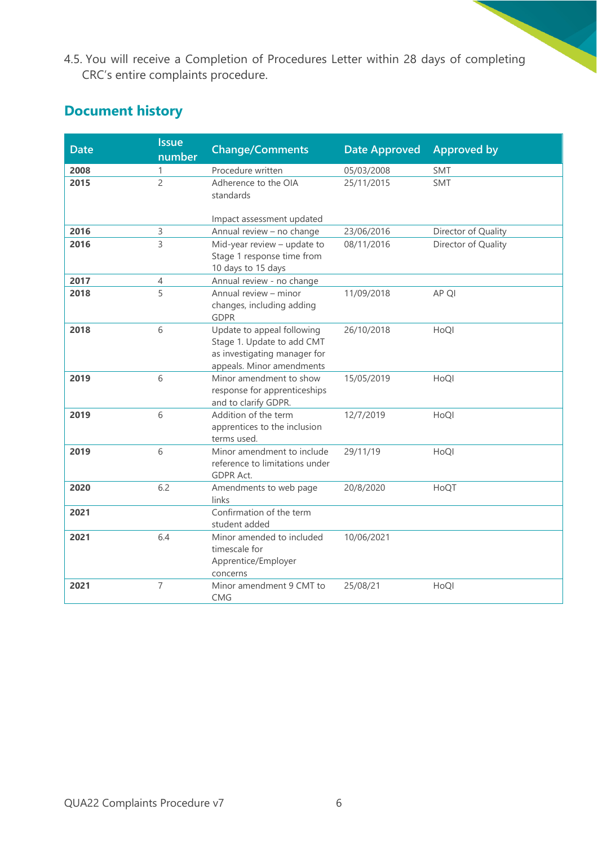4.5. You will receive a Completion of Procedures Letter within 28 days of completing CRC's entire complaints procedure.

### **Document history**

| <b>Date</b> | <b>Issue</b><br>number | <b>Change/Comments</b>                                                                                                | <b>Date Approved</b> | <b>Approved by</b>  |
|-------------|------------------------|-----------------------------------------------------------------------------------------------------------------------|----------------------|---------------------|
| 2008        | 1                      | Procedure written                                                                                                     | 05/03/2008           | <b>SMT</b>          |
| 2015        | $\overline{2}$         | Adherence to the OIA<br>standards<br>Impact assessment updated                                                        | 25/11/2015           | <b>SMT</b>          |
| 2016        | 3                      | Annual review - no change                                                                                             | 23/06/2016           | Director of Quality |
| 2016        | $\overline{3}$         | Mid-year review - update to<br>Stage 1 response time from<br>10 days to 15 days                                       | 08/11/2016           | Director of Quality |
| 2017        | 4                      | Annual review - no change                                                                                             |                      |                     |
| 2018        | 5                      | Annual review - minor<br>changes, including adding<br><b>GDPR</b>                                                     | 11/09/2018           | AP QI               |
| 2018        | 6                      | Update to appeal following<br>Stage 1. Update to add CMT<br>as investigating manager for<br>appeals. Minor amendments | 26/10/2018           | HoQl                |
| 2019        | 6                      | Minor amendment to show<br>response for apprenticeships<br>and to clarify GDPR.                                       | 15/05/2019           | HoQl                |
| 2019        | 6                      | Addition of the term<br>apprentices to the inclusion<br>terms used.                                                   | 12/7/2019            | HoQl                |
| 2019        | 6                      | Minor amendment to include<br>reference to limitations under<br><b>GDPR Act.</b>                                      | 29/11/19             | HoQl                |
| 2020        | 6.2                    | Amendments to web page<br>links                                                                                       | 20/8/2020            | HoQT                |
| 2021        |                        | Confirmation of the term<br>student added                                                                             |                      |                     |
| 2021        | 6.4                    | Minor amended to included<br>timescale for<br>Apprentice/Employer<br>concerns                                         | 10/06/2021           |                     |
| 2021        | $\overline{7}$         | Minor amendment 9 CMT to<br><b>CMG</b>                                                                                | 25/08/21             | HoQl                |